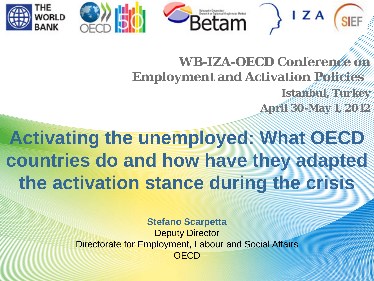



## **WB-IZA-OECD Conference on Employment and Activation Policies Istanbul, Turkey April 30-May 1, 2012**

 $\mathsf{I} \mathsf{Z} \mathsf{A}$ 

**Activating the unemployed: What OECD countries do and how have they adapted the activation stance during the crisis**

> **Stefano Scarpetta** Deputy Director Directorate for Employment, Labour and Social Affairs **OFCD**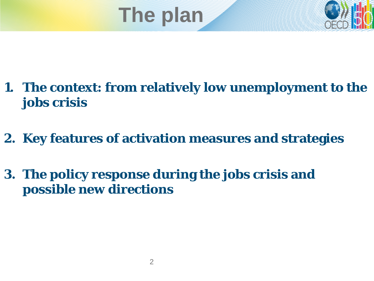



- **1. The context: from relatively low unemployment to the jobs crisis**
- **2. Key features of activation measures and strategies**
- **3. The policy response during the jobs crisis and possible new directions**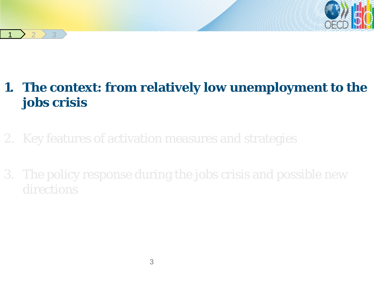

### **1. The context: from relatively low unemployment to the jobs crisis**

# 2. Key features of activation measures and strategies

 $2 \times 3$ 

3. The policy response during the jobs crisis and possible new directions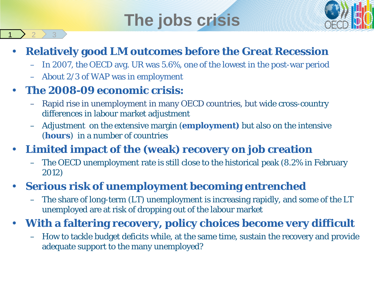# **The jobs crisis**



### • **Relatively good LM outcomes before the Great Recession**

- In 2007, the OECD avg. UR was 5.6%, one of the lowest in the post-war period
- About 2/3 of WAP was in employment

### • **The 2008-09 economic crisis:**

 $2 \t3$ 

- Rapid rise in unemployment in many OECD countries, but wide cross-country differences in labour market adjustment
- Adjustment on the extensive margin (**employment)** but also on the intensive (**hours**) in a number of countries

### • **Limited impact of the (weak) recovery on job creation**

– The OECD unemployment rate is still close to the historical peak (8.2% in February 2012)

### • **Serious risk of unemployment becoming entrenched**

– The share of long-term (LT) unemployment is increasing rapidly, and some of the LT unemployed are at risk of dropping out of the labour market

### • **With a faltering recovery, policy choices become very difficult**

– How to tackle budget deficits while, at the same time, sustain the recovery and provide adequate support to the many unemployed?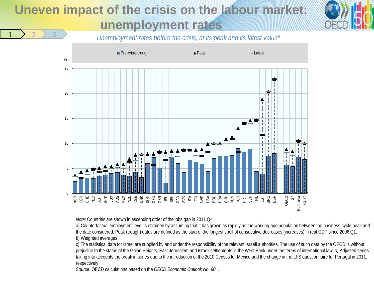## **Uneven impact of the crisis on the labour market unemployment rates**



*Unemployment rates before the crisis, at its peak and its latest value<sup>a</sup>* 



*Note:* Countries are shown in ascending order of the jobs gap in 2011 Q4.

a) Counterfactual employment level is obtained by assuming that it has grown as rapidly as the working-age population between the business-cycle peak and the date considered. Peak (trough) dates are defined as the start of the longest spell of consecutive decreases (increases) in real GDP since 2006 Q1. b) Weighted averages.

c) The statistical data for Israel are supplied by and under the responsibility of the relevant Israeli authorities. The use of such data by the OECD is without prejudice to the status of the Golan Heights, East Jerusalem and Israeli settlements in the West Bank under the terms of international law. *d)* Adjusted series taking into accounts the break in series due to the introduction of the 2010 Census for Mexico and the change in the LFS questionnaire for Portugal in 2011, respectively.

*Source:* OECD calculations based on the *OECD Economic Outlook No. 90.* .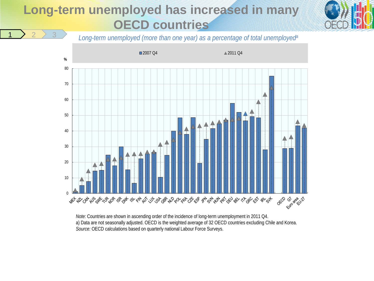### **Long-term unemployed has increased in many OECD countries**



*Long-term unemployed (more than one year) as a percentage of total unemployed*<sup>a</sup>



*Note:* Countries are shown in ascending order of the incidence of long-term unemployment in 2011 Q4. a) Data are not seasonally adjusted. OECD is the weighted average of 32 OECD countries excluding Chile and Korea. *Source:* OECD calculations based on quarterly national Labour Force Surveys.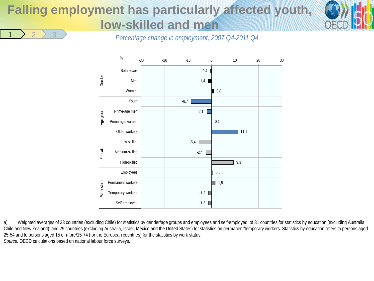#### **Falling employment has particularly affected youth, low-skilled and men** <u>1 > 2 > 3</u>



*Percentage change in employment, 2007 Q4-2011 Q4*



a) Weighted averages of 33 countries (excluding Chile) for statistics by gender/age groups and employees and self-employed; of 31 countries for statistics by education (excluding Australia, Chile and New Zealand); and 29 countries (excluding Australia, Israel, Mexico and the United States) for statistics on permanent/temporary workers. Statistics by education refers to persons aged 25-54 and to persons aged 15 or more/15-74 (for the European countries) for the statistics by work status. *Source:* OECD calculations based on national labour force surveys.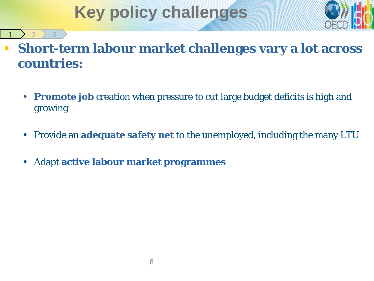# **Key policy challenges**



### **Short-term labour market challenges vary a lot across countries:**

- **Promote job** creation when pressure to cut large budget deficits is high and growing
- Provide an **adequate safety net** to the unemployed, including the many LTU
- Adapt **active labour market programmes**

<u>1 > 2 > 3</u>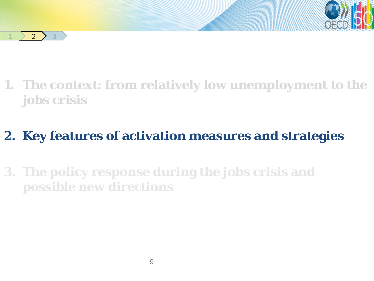

 $2$   $3$ 

**1. The context: from relatively low unemployment to the jobs crisis**

# **2. Key features of activation measures and strategies**

**3. The policy response during the jobs crisis and possible new directions**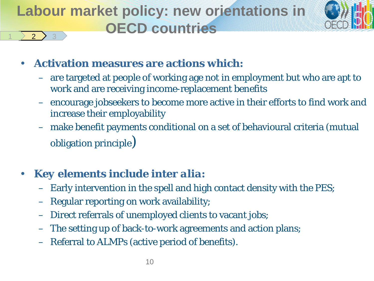#### **Labour market policy: new orientations in OECD countries**  $2<sup>1</sup>$



- **Activation measures are actions which:** 
	- are targeted at people of working age not in employment but who are apt to work and are receiving income-replacement benefits
	- encourage jobseekers to become more active in their efforts to find work and increase their employability
	- make benefit payments conditional on a set of behavioural criteria (mutual obligation principle)

### • *Key elements* **include** *inter alia***:**

- Early intervention in the spell and high contact density with the PES;
- Regular reporting on work availability;
- Direct referrals of unemployed clients to vacant jobs;
- The setting up of back-to-work agreements and action plans;
- Referral to ALMPs (active period of benefits).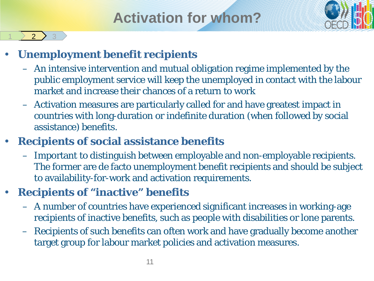# **Activation for whom?**



### • **Unemployment benefit recipients**

 $2$   $3$ 

- An intensive intervention and mutual obligation regime implemented by the public employment service will keep the unemployed in contact with the labour market and increase their chances of a return to work
- Activation measures are particularly called for and have greatest impact in countries with long-duration or indefinite duration (when followed by social assistance) benefits.

### • **Recipients of social assistance benefits**

– Important to distinguish between employable and non-employable recipients. The former are de facto unemployment benefit recipients and should be subject to availability-for-work and activation requirements.

### • **Recipients of "inactive" benefits**

- A number of countries have experienced significant increases in working-age recipients of inactive benefits, such as people with disabilities or lone parents.
- Recipients of such benefits can often work and have gradually become another target group for labour market policies and activation measures.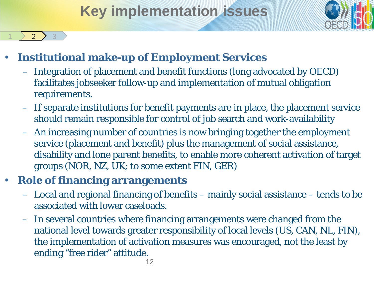# **Key implementation issues**



#### • **Institutional make-up of Employment Services**

- Integration of placement and benefit functions (long advocated by OECD) facilitates jobseeker follow-up and implementation of mutual obligation requirements.
- If separate institutions for benefit payments are in place, the placement service should remain responsible for control of job search and work-availability
- An increasing number of countries is now bringing together the employment service (placement and benefit) plus the management of social assistance, disability and lone parent benefits, to enable more coherent activation of target groups (NOR, NZ, UK; to some extent FIN, GER)

#### • **Role of financing arrangements**

 $2<sup>2</sup>$ 

- Local and regional financing of benefits mainly social assistance tends to be associated with lower caseloads.
- In several countries where financing arrangements were changed from the national level towards greater responsibility of local levels (US, CAN, NL, FIN), the implementation of activation measures was encouraged, not the least by ending "free rider" attitude.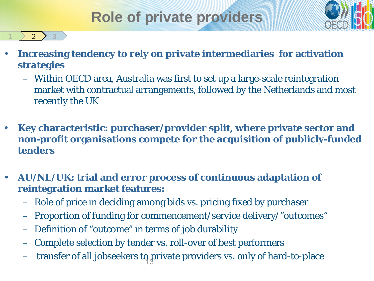# **Role of private providers**



- **Increasing tendency to rely on private intermediaries for activation strategies**
	- Within OECD area, Australia was first to set up a large-scale reintegration market with contractual arrangements, followed by the Netherlands and most recently the UK
- **Key characteristic: purchaser/provider split, where private sector and non-profit organisations compete for the acquisition of publicly-funded tenders**
- **AU/NL/UK: trial and error process of continuous adaptation of reintegration market features:**
	- Role of price in deciding among bids vs. pricing fixed by purchaser
	- Proportion of funding for commencement/service delivery/"outcomes"
	- Definition of "outcome" in terms of job durability

 $\geq 2$  3

- Complete selection by tender vs. roll-over of best performers
- transfer of all jobseekers to private providers vs. only of hard-to-place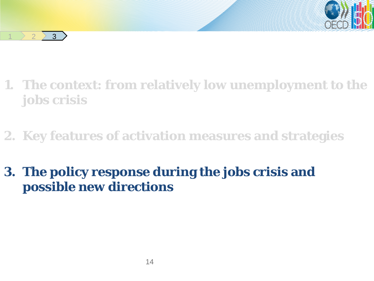



**2. Key features of activation measures and strategies**

**3. The policy response during the jobs crisis and possible new directions**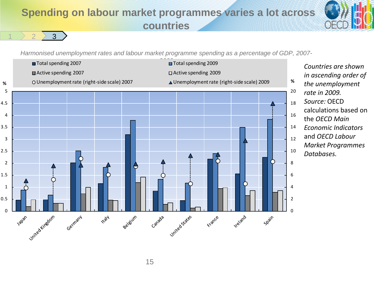#### **Spending on labour market programmes varies a lot across countries**



*Harmonised unemployment rates and labour market programme spending as a percentage of GDP, 2007-*

1  $2$   $2$   $3$ 

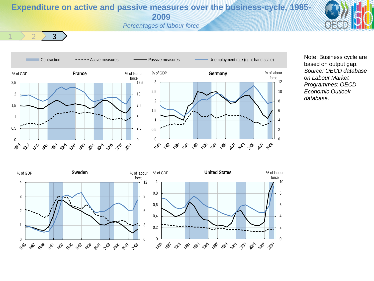**Expenditure on active and passive measures over the business-cycle, 1985- 2009**

*Percentages of labour force*



1  $2$   $2$   $3$ 



Note: Business cycle are based on output gap. *Source: OECD database on Labour Market Programmes*; *OECD Economic Outlook database.*

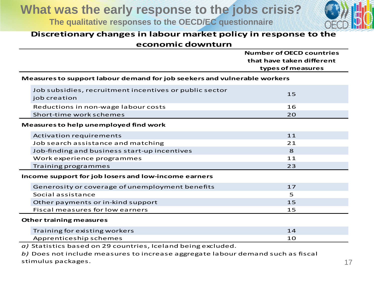**What was the early response to the jobs crisis?**

**The qualitative responses to the OECD/EC questionnaire** 



#### **Discretionary changes in labour market policy in response to the economic downturn**

|                                                                          |                                                                        | <b>Number of OECD countries</b>                |
|--------------------------------------------------------------------------|------------------------------------------------------------------------|------------------------------------------------|
|                                                                          |                                                                        | that have taken different<br>types of measures |
| Measures to support labour demand for job seekers and vulnerable workers |                                                                        |                                                |
|                                                                          | Job subsidies, recruitment incentives or public sector<br>job creation | 15                                             |
|                                                                          | Reductions in non-wage labour costs                                    | 16                                             |
|                                                                          | Short-time work schemes                                                | 20                                             |
| Measures to help unemployed find work                                    |                                                                        |                                                |
|                                                                          | <b>Activation requirements</b>                                         | 11                                             |
|                                                                          | Job search assistance and matching                                     | 21                                             |
|                                                                          | Job-finding and business start-up incentives                           | 8                                              |
|                                                                          | Work experience programmes                                             | 11                                             |
|                                                                          | Training programmes                                                    | 23                                             |
| Income support for job losers and low-income earners                     |                                                                        |                                                |
|                                                                          | Generosity or coverage of unemployment benefits                        | 17                                             |
|                                                                          | Social assistance                                                      | 5                                              |
|                                                                          | Other payments or in-kind support                                      | 15                                             |
|                                                                          | <b>Fiscal measures for low earners</b>                                 | 15                                             |
| <b>Other training measures</b>                                           |                                                                        |                                                |
|                                                                          | Training for existing workers                                          | 14                                             |
|                                                                          | Apprenticeship schemes                                                 | 10                                             |
| $a)$ Statistics based on 29 countries, Iceland being excluded.           |                                                                        |                                                |

*b)* Does not include measures to increase aggregate labour demand such as fiscal stimulus packages. 17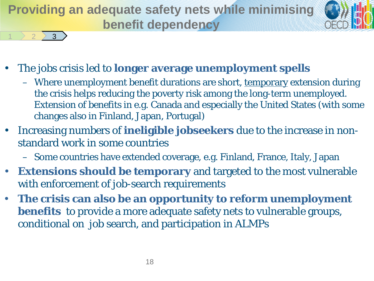**Providing an adequate safety nets while minimising benefit dependency**



• The jobs crisis led to **longer average unemployment spells** 

1  $2$   $2$   $3$ 

- Where unemployment benefit durations are short, temporary extension during the crisis helps reducing the poverty risk among the long-term unemployed. Extension of benefits in e.g. Canada and especially the United States (with some changes also in Finland, Japan, Portugal)
- Increasing numbers of **ineligible jobseekers** due to the increase in nonstandard work in some countries
	- Some countries have extended coverage, e.g. Finland, France, Italy, Japan
- **Extensions should be temporary** and targeted to the most vulnerable with enforcement of job-search requirements
- **The crisis can also be an opportunity to reform unemployment benefits** to provide a more adequate safety nets to vulnerable groups, conditional on job search, and participation in ALMPs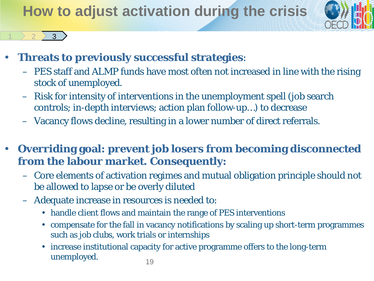# **How to adjust activation during the crisis**



#### • **Threats to previously successful strategies**:

1  $2$   $2$   $3$ 

- PES staff and ALMP funds have most often not increased in line with the rising stock of unemployed.
- Risk for intensity of interventions in the unemployment spell (job search controls; in-depth interviews; action plan follow-up…) to decrease
- Vacancy flows decline, resulting in a lower number of direct referrals.
- **Overriding goal: prevent job losers from becoming disconnected from the labour market. Consequently:**
	- Core elements of activation regimes and mutual obligation principle should not be allowed to lapse or be overly diluted
	- Adequate increase in resources is needed to:
		- handle client flows and maintain the range of PES interventions
		- compensate for the fall in vacancy notifications by scaling up short-term programmes such as job clubs, work trials or internships
		- increase institutional capacity for active programme offers to the long-term unemployed. 19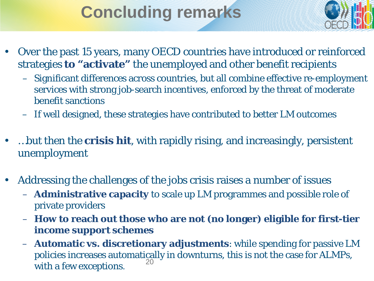# **Concluding remarks**



- Over the past 15 years, many OECD countries have introduced or reinforced strategies **to "activate"** the unemployed and other benefit recipients
	- Significant differences across countries, but all combine effective re-employment services with strong job-search incentives, enforced by the threat of moderate benefit sanctions
	- If well designed, these strategies have contributed to better LM outcomes
- …but then the **crisis hit**, with rapidly rising, and increasingly, persistent unemployment
- Addressing the challenges of the jobs crisis raises a number of issues
	- **Administrative capacity** to scale up LM programmes and possible role of private providers
	- **How to reach out those who are not (no longer) eligible for first-tier income support schemes**
	- **Automatic vs. discretionary adjustments**: while spending for passive LM policies increases automatically in downturns, this is not the case for ALMPs, with a few exceptions.